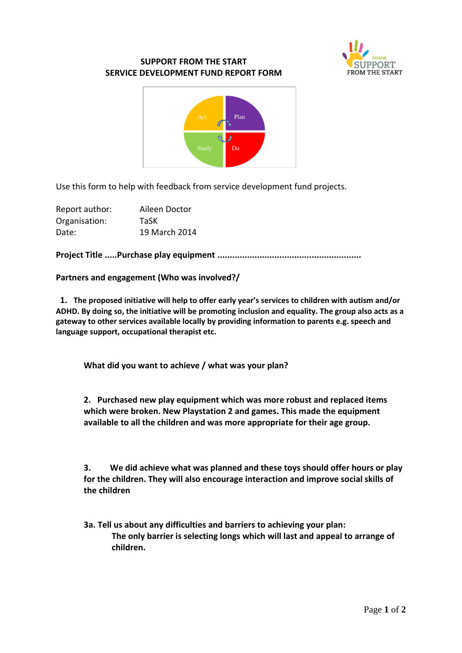

## **SUPPORT FROM THE START SERVICE DEVELOPMENT FUND REPORT FORM**



Use this form to help with feedback from service development fund projects.

| Report author: | Aileen Doctor |
|----------------|---------------|
| Organisation:  | TaSK          |
| Date:          | 19 March 2014 |

**Project Title .....Purchase play equipment ..........................................................**

**Partners and engagement (Who was involved?/**

 **1. The proposed initiative will help to offer early year's services to children with autism and/or ADHD. By doing so, the initiative will be promoting inclusion and equality. The group also acts as a gateway to other services available locally by providing information to parents e.g. speech and language support, occupational therapist etc.**

**What did you want to achieve / what was your plan?**

**2. Purchased new play equipment which was more robust and replaced items which were broken. New Playstation 2 and games. This made the equipment available to all the children and was more appropriate for their age group.** 

**3. We did achieve what was planned and these toys should offer hours or play for the children. They will also encourage interaction and improve social skills of the children**

**3a. Tell us about any difficulties and barriers to achieving your plan: The only barrier is selecting longs which will last and appeal to arrange of children.**